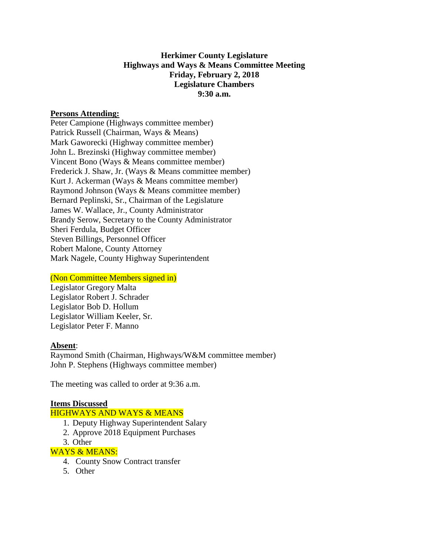# **Herkimer County Legislature Highways and Ways & Means Committee Meeting Friday, February 2, 2018 Legislature Chambers 9:30 a.m.**

### **Persons Attending:**

Peter Campione (Highways committee member) Patrick Russell (Chairman, Ways & Means) Mark Gaworecki (Highway committee member) John L. Brezinski (Highway committee member) Vincent Bono (Ways & Means committee member) Frederick J. Shaw, Jr. (Ways & Means committee member) Kurt J. Ackerman (Ways & Means committee member) Raymond Johnson (Ways & Means committee member) Bernard Peplinski, Sr., Chairman of the Legislature James W. Wallace, Jr., County Administrator Brandy Serow, Secretary to the County Administrator Sheri Ferdula, Budget Officer Steven Billings, Personnel Officer Robert Malone, County Attorney Mark Nagele, County Highway Superintendent

#### (Non Committee Members signed in)

Legislator Gregory Malta Legislator Robert J. Schrader Legislator Bob D. Hollum Legislator William Keeler, Sr. Legislator Peter F. Manno

### **Absent**:

Raymond Smith (Chairman, Highways/W&M committee member) John P. Stephens (Highways committee member)

The meeting was called to order at 9:36 a.m.

#### **Items Discussed**

### HIGHWAYS AND WAYS & MEANS

- 1. Deputy Highway Superintendent Salary
- 2. Approve 2018 Equipment Purchases
- 3. Other

#### WAYS & MEANS:

- 4. County Snow Contract transfer
- 5. Other